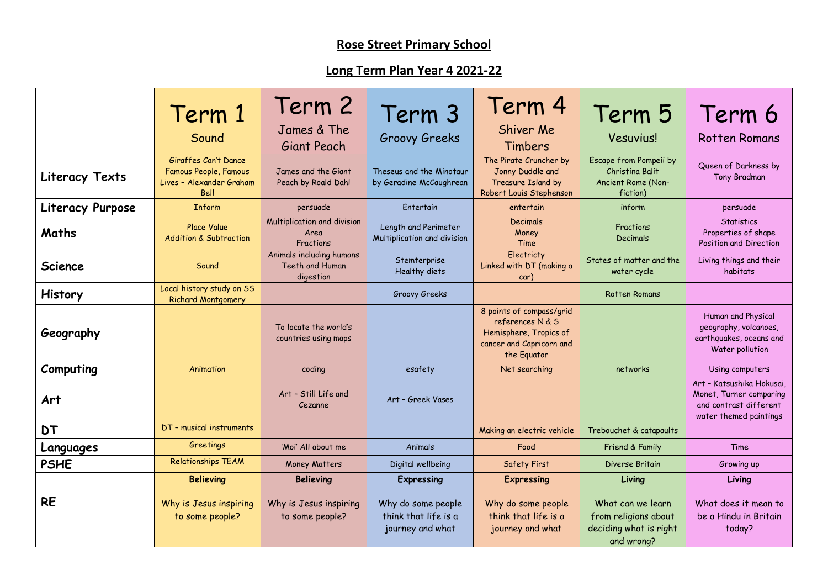## **Rose Street Primary School**

## **Long Term Plan Year 4 2021-22**

|                  | Term 1<br>Sound                                                                   | Term 2<br>James & The<br>Giant Peach                     | Term 3<br><b>Groovy Greeks</b>                                 | Term 4<br>Shiver Me<br>Timbers                                                                                    | Term 5<br><b>Vesuvius!</b>                                                        | Term 6<br><b>Rotten Romans</b>                                                                           |
|------------------|-----------------------------------------------------------------------------------|----------------------------------------------------------|----------------------------------------------------------------|-------------------------------------------------------------------------------------------------------------------|-----------------------------------------------------------------------------------|----------------------------------------------------------------------------------------------------------|
| Literacy Texts   | Giraffes Can't Dance<br>Famous People, Famous<br>Lives - Alexander Graham<br>Bell | James and the Giant<br>Peach by Roald Dahl               | Theseus and the Minotaur<br>by Geradine McCaughrean            | The Pirate Cruncher by<br>Jonny Duddle and<br>Treasure Island by<br>Robert Louis Stephenson                       | Escape from Pompeii by<br>Christina Balit<br>Ancient Rome (Non-<br>fiction)       | Queen of Darkness by<br>Tony Bradman                                                                     |
| Literacy Purpose | <b>Inform</b>                                                                     | persuade                                                 | Entertain                                                      | entertain                                                                                                         | inform                                                                            | persuade                                                                                                 |
| Maths            | <b>Place Value</b><br><b>Addition &amp; Subtraction</b>                           | Multiplication and division<br>Area<br>Fractions         | Length and Perimeter<br>Multiplication and division            | Decimals<br>Money<br>Time                                                                                         | Fractions<br><b>Decimals</b>                                                      | <b>Statistics</b><br>Properties of shape<br>Position and Direction                                       |
| <b>Science</b>   | Sound                                                                             | Animals including humans<br>Teeth and Human<br>digestion | Stemterprise<br>Healthy diets                                  | <b>Electricty</b><br>Linked with DT (making a<br>car)                                                             | States of matter and the<br>water cycle                                           | Living things and their<br>habitats                                                                      |
| <b>History</b>   | Local history study on SS<br><b>Richard Montgomery</b>                            |                                                          | Groovy Greeks                                                  |                                                                                                                   | <b>Rotten Romans</b>                                                              |                                                                                                          |
| Geography        |                                                                                   | To locate the world's<br>countries using maps            |                                                                | 8 points of compass/grid<br>references N & S<br>Hemisphere, Tropics of<br>cancer and Capricorn and<br>the Equator |                                                                                   | Human and Physical<br>geography, volcanoes,<br>earthquakes, oceans and<br>Water pollution                |
| Computing        | Animation                                                                         | coding                                                   | esafety                                                        | Net searching                                                                                                     | networks                                                                          | Using computers                                                                                          |
| Art              |                                                                                   | Art - Still Life and<br>Cezanne                          | Art - Greek Vases                                              |                                                                                                                   |                                                                                   | Art - Katsushika Hokusai,<br>Monet, Turner comparing<br>and contrast different<br>water themed paintings |
| <b>DT</b>        | DT - musical instruments                                                          |                                                          |                                                                | Making an electric vehicle                                                                                        | Trebouchet & catapaults                                                           |                                                                                                          |
| Languages        | Greetings                                                                         | 'Moi' All about me                                       | Animals                                                        | Food                                                                                                              | Friend & Family                                                                   | Time                                                                                                     |
| <b>PSHE</b>      | <b>Relationships TEAM</b>                                                         | <b>Money Matters</b>                                     | Digital wellbeing                                              | <b>Safety First</b>                                                                                               | Diverse Britain                                                                   | Growing up                                                                                               |
|                  | <b>Believing</b>                                                                  | <b>Believing</b>                                         | <b>Expressing</b>                                              | <b>Expressing</b>                                                                                                 | Living                                                                            | Living                                                                                                   |
| <b>RE</b>        | Why is Jesus inspiring<br>to some people?                                         | Why is Jesus inspiring<br>to some people?                | Why do some people<br>think that life is a<br>journey and what | Why do some people<br>think that life is a<br>journey and what                                                    | What can we learn<br>from religions about<br>deciding what is right<br>and wrong? | What does it mean to<br>be a Hindu in Britain<br>today?                                                  |